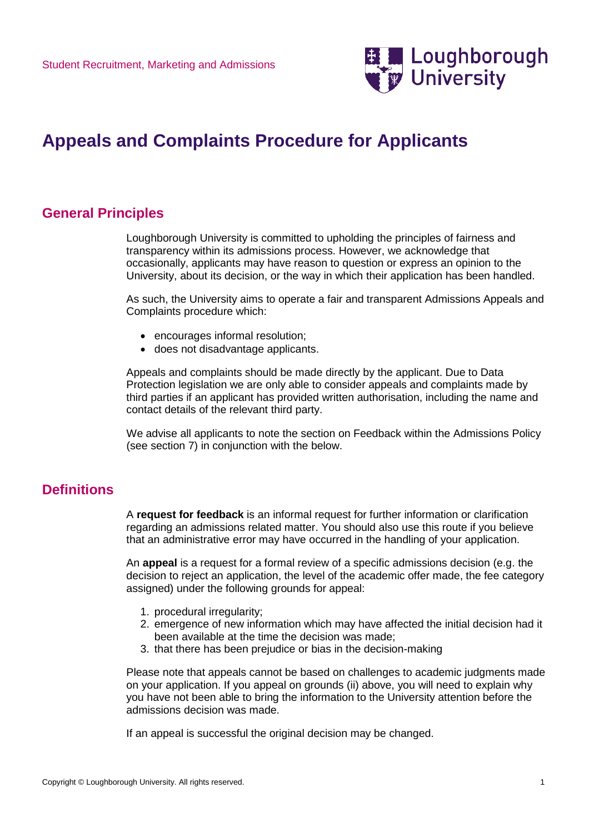

# **Appeals and Complaints Procedure for Applicants**

### **General Principles**

Loughborough University is committed to upholding the principles of fairness and transparency within its admissions process. However, we acknowledge that occasionally, applicants may have reason to question or express an opinion to the University, about its decision, or the way in which their application has been handled.

As such, the University aims to operate a fair and transparent Admissions Appeals and Complaints procedure which:

- encourages informal resolution;
- does not disadvantage applicants.

Appeals and complaints should be made directly by the applicant. Due to Data Protection legislation we are only able to consider appeals and complaints made by third parties if an applicant has provided written authorisation, including the name and contact details of the relevant third party.

We advise all applicants to note the section on Feedback within the Admissions Policy (see section 7) in conjunction with the below.

### **Definitions**

A **request for feedback** is an informal request for further information or clarification regarding an admissions related matter. You should also use this route if you believe that an administrative error may have occurred in the handling of your application.

An **appeal** is a request for a formal review of a specific admissions decision (e.g. the decision to reject an application, the level of the academic offer made, the fee category assigned) under the following grounds for appeal:

- 1. procedural irregularity;
- 2. emergence of new information which may have affected the initial decision had it been available at the time the decision was made;
- 3. that there has been prejudice or bias in the decision-making

Please note that appeals cannot be based on challenges to academic judgments made on your application. If you appeal on grounds (ii) above, you will need to explain why you have not been able to bring the information to the University attention before the admissions decision was made.

If an appeal is successful the original decision may be changed.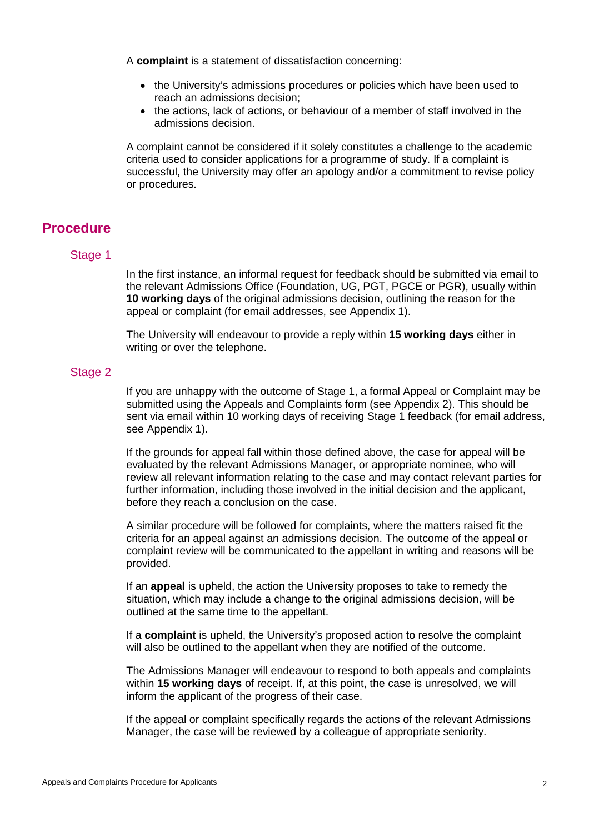A **complaint** is a statement of dissatisfaction concerning:

- the University's admissions procedures or policies which have been used to reach an admissions decision;
- the actions, lack of actions, or behaviour of a member of staff involved in the admissions decision.

A complaint cannot be considered if it solely constitutes a challenge to the academic criteria used to consider applications for a programme of study. If a complaint is successful, the University may offer an apology and/or a commitment to revise policy or procedures.

### **Procedure**

#### Stage 1

In the first instance, an informal request for feedback should be submitted via email to the relevant Admissions Office (Foundation, UG, PGT, PGCE or PGR), usually within **10 working days** of the original admissions decision, outlining the reason for the appeal or complaint (for email addresses, see Appendix 1).

The University will endeavour to provide a reply within **15 working days** either in writing or over the telephone.

#### Stage 2

If you are unhappy with the outcome of Stage 1, a formal Appeal or Complaint may be submitted using the Appeals and Complaints form (see Appendix 2). This should be sent via email within 10 working days of receiving Stage 1 feedback (for email address, see Appendix 1).

If the grounds for appeal fall within those defined above, the case for appeal will be evaluated by the relevant Admissions Manager, or appropriate nominee, who will review all relevant information relating to the case and may contact relevant parties for further information, including those involved in the initial decision and the applicant, before they reach a conclusion on the case.

A similar procedure will be followed for complaints, where the matters raised fit the criteria for an appeal against an admissions decision. The outcome of the appeal or complaint review will be communicated to the appellant in writing and reasons will be provided.

If an **appeal** is upheld, the action the University proposes to take to remedy the situation, which may include a change to the original admissions decision, will be outlined at the same time to the appellant.

If a **complaint** is upheld, the University's proposed action to resolve the complaint will also be outlined to the appellant when they are notified of the outcome.

The Admissions Manager will endeavour to respond to both appeals and complaints within **15 working days** of receipt. If, at this point, the case is unresolved, we will inform the applicant of the progress of their case.

If the appeal or complaint specifically regards the actions of the relevant Admissions Manager, the case will be reviewed by a colleague of appropriate seniority.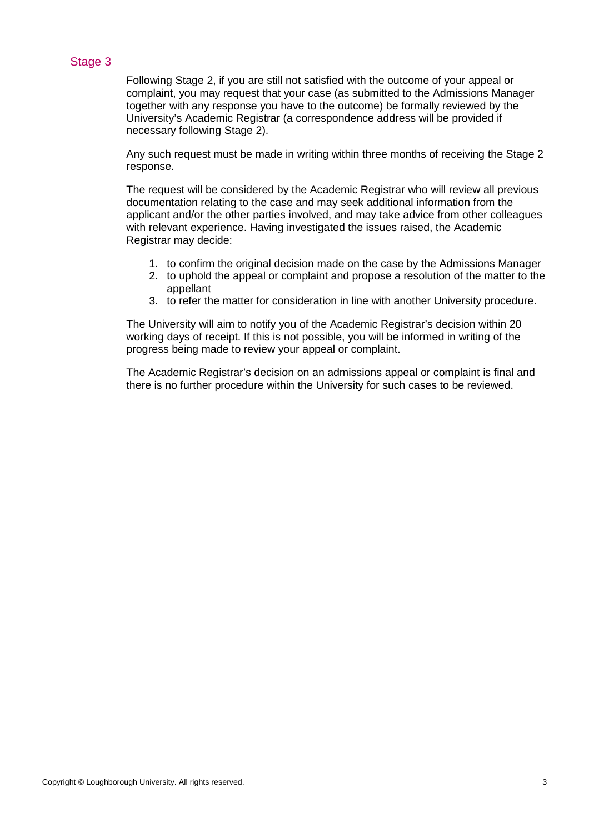### Stage 3

Following Stage 2, if you are still not satisfied with the outcome of your appeal or complaint, you may request that your case (as submitted to the Admissions Manager together with any response you have to the outcome) be formally reviewed by the University's Academic Registrar (a correspondence address will be provided if necessary following Stage 2).

Any such request must be made in writing within three months of receiving the Stage 2 response.

The request will be considered by the Academic Registrar who will review all previous documentation relating to the case and may seek additional information from the applicant and/or the other parties involved, and may take advice from other colleagues with relevant experience. Having investigated the issues raised, the Academic Registrar may decide:

- 1. to confirm the original decision made on the case by the Admissions Manager
- 2. to uphold the appeal or complaint and propose a resolution of the matter to the appellant
- 3. to refer the matter for consideration in line with another University procedure.

The University will aim to notify you of the Academic Registrar's decision within 20 working days of receipt. If this is not possible, you will be informed in writing of the progress being made to review your appeal or complaint.

The Academic Registrar's decision on an admissions appeal or complaint is final and there is no further procedure within the University for such cases to be reviewed.